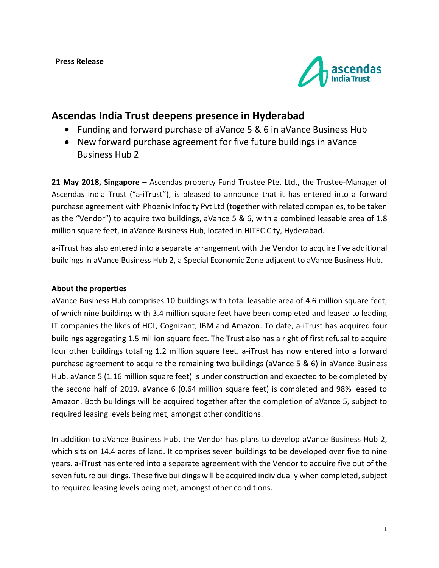

# **Ascendas India Trust deepens presence in Hyderabad**

- Funding and forward purchase of aVance 5 & 6 in aVance Business Hub
- New forward purchase agreement for five future buildings in aVance Business Hub 2

**21 May 2018, Singapore** – Ascendas property Fund Trustee Pte. Ltd., the Trustee-Manager of Ascendas India Trust ("a-iTrust"), is pleased to announce that it has entered into a forward purchase agreement with Phoenix Infocity Pvt Ltd (together with related companies, to be taken as the "Vendor") to acquire two buildings, aVance 5 & 6, with a combined leasable area of 1.8 million square feet, in aVance Business Hub, located in HITEC City, Hyderabad.

a-iTrust has also entered into a separate arrangement with the Vendor to acquire five additional buildings in aVance Business Hub 2, a Special Economic Zone adjacent to aVance Business Hub.

## **About the properties**

aVance Business Hub comprises 10 buildings with total leasable area of 4.6 million square feet; of which nine buildings with 3.4 million square feet have been completed and leased to leading IT companies the likes of HCL, Cognizant, IBM and Amazon. To date, a-iTrust has acquired four buildings aggregating 1.5 million square feet. The Trust also has a right of first refusal to acquire four other buildings totaling 1.2 million square feet. a-iTrust has now entered into a forward purchase agreement to acquire the remaining two buildings (aVance 5 & 6) in aVance Business Hub. aVance 5 (1.16 million square feet) is under construction and expected to be completed by the second half of 2019. aVance 6 (0.64 million square feet) is completed and 98% leased to Amazon. Both buildings will be acquired together after the completion of aVance 5, subject to required leasing levels being met, amongst other conditions.

In addition to aVance Business Hub, the Vendor has plans to develop aVance Business Hub 2, which sits on 14.4 acres of land. It comprises seven buildings to be developed over five to nine years. a-iTrust has entered into a separate agreement with the Vendor to acquire five out of the seven future buildings. These five buildings will be acquired individually when completed, subject to required leasing levels being met, amongst other conditions.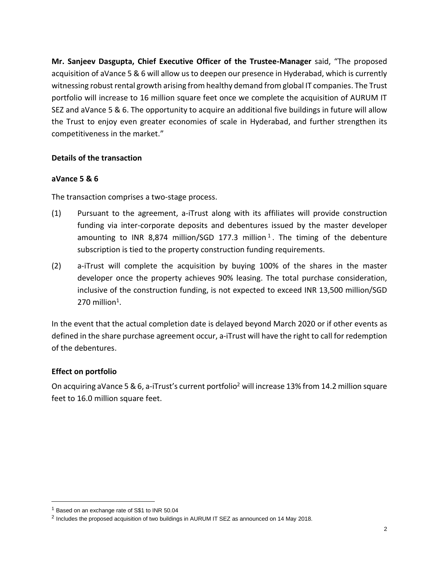**Mr. Sanjeev Dasgupta, Chief Executive Officer of the Trustee-Manager** said, "The proposed acquisition of aVance 5 & 6 will allow us to deepen our presence in Hyderabad, which is currently witnessing robust rental growth arising from healthy demand from global IT companies. The Trust portfolio will increase to 16 million square feet once we complete the acquisition of AURUM IT SEZ and aVance 5 & 6. The opportunity to acquire an additional five buildings in future will allow the Trust to enjoy even greater economies of scale in Hyderabad, and further strengthen its competitiveness in the market."

# **Details of the transaction**

## **aVance 5 & 6**

The transaction comprises a two-stage process.

- (1) Pursuant to the agreement, a-iTrust along with its affiliates will provide construction funding via inter-corporate deposits and debentures issued by the master developer amounting to INR 8,874 million/SGD 177.3 million<sup>1</sup>. The timing of the debenture subscription is tied to the property construction funding requirements.
- (2) a-iTrust will complete the acquisition by buying 100% of the shares in the master developer once the property achieves 90% leasing. The total purchase consideration, inclusive of the construction funding, is not expected to exceed INR 13,500 million/SGD  $270$  million<sup>1</sup>.

In the event that the actual completion date is delayed beyond March 2020 or if other events as defined in the share purchase agreement occur, a-iTrust will have the right to call for redemption of the debentures.

## **Effect on portfolio**

 $\overline{a}$ 

On acquiring aVance 5 & 6, a-iTrust's current portfolio<sup>2</sup> will increase 13% from 14.2 million square feet to 16.0 million square feet.

<sup>&</sup>lt;sup>1</sup> Based on an exchange rate of S\$1 to INR 50.04

<sup>&</sup>lt;sup>2</sup> Includes the proposed acquisition of two buildings in AURUM IT SEZ as announced on 14 May 2018.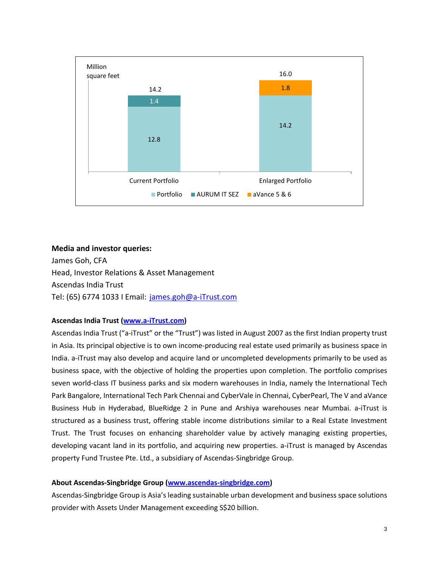

#### **Media and investor queries:**

James Goh, CFA Head, Investor Relations & Asset Management Ascendas India Trust Tel: (65) 6774 1033 I Email: [james.goh@a-iTrust.com](mailto:james.goh@a-iTrust.com)

#### **Ascendas India Trust [\(www.a-iTrust.com\)](http://www.a-itrust.com/)**

Ascendas India Trust ("a-iTrust" or the "Trust") was listed in August 2007 as the first Indian property trust in Asia. Its principal objective is to own income-producing real estate used primarily as business space in India. a-iTrust may also develop and acquire land or uncompleted developments primarily to be used as business space, with the objective of holding the properties upon completion. The portfolio comprises seven world-class IT business parks and six modern warehouses in India, namely the International Tech Park Bangalore, International Tech Park Chennai and CyberVale in Chennai, CyberPearl, The V and aVance Business Hub in Hyderabad, BlueRidge 2 in Pune and Arshiya warehouses near Mumbai. a-iTrust is structured as a business trust, offering stable income distributions similar to a Real Estate Investment Trust. The Trust focuses on enhancing shareholder value by actively managing existing properties, developing vacant land in its portfolio, and acquiring new properties. a-iTrust is managed by Ascendas property Fund Trustee Pte. Ltd., a subsidiary of Ascendas-Singbridge Group.

#### **About Ascendas-Singbridge Group [\(www.ascendas-singbridge.com\)](http://www.ascendas-singbridge.com/)**

Ascendas-Singbridge Group is Asia's leading sustainable urban development and business space solutions provider with Assets Under Management exceeding S\$20 billion.